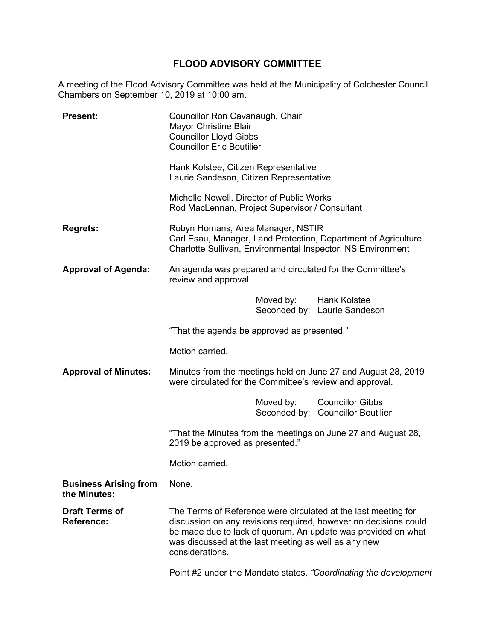## **FLOOD ADVISORY COMMITTEE**

A meeting of the Flood Advisory Committee was held at the Municipality of Colchester Council Chambers on September 10, 2019 at 10:00 am.

| <b>Present:</b>                              | Councillor Ron Cavanaugh, Chair<br><b>Mayor Christine Blair</b><br><b>Councillor Lloyd Gibbs</b><br><b>Councillor Eric Boutilier</b> |                        |                                                                                                                                                                                                     |
|----------------------------------------------|--------------------------------------------------------------------------------------------------------------------------------------|------------------------|-----------------------------------------------------------------------------------------------------------------------------------------------------------------------------------------------------|
|                                              | Hank Kolstee, Citizen Representative<br>Laurie Sandeson, Citizen Representative                                                      |                        |                                                                                                                                                                                                     |
|                                              | Michelle Newell, Director of Public Works<br>Rod MacLennan, Project Supervisor / Consultant                                          |                        |                                                                                                                                                                                                     |
| <b>Regrets:</b>                              | Robyn Homans, Area Manager, NSTIR                                                                                                    |                        | Carl Esau, Manager, Land Protection, Department of Agriculture<br>Charlotte Sullivan, Environmental Inspector, NS Environment                                                                       |
| <b>Approval of Agenda:</b>                   | An agenda was prepared and circulated for the Committee's<br>review and approval.                                                    |                        |                                                                                                                                                                                                     |
|                                              |                                                                                                                                      | Moved by: Hank Kolstee | Seconded by: Laurie Sandeson                                                                                                                                                                        |
|                                              | "That the agenda be approved as presented."                                                                                          |                        |                                                                                                                                                                                                     |
|                                              | Motion carried.                                                                                                                      |                        |                                                                                                                                                                                                     |
| <b>Approval of Minutes:</b>                  | Minutes from the meetings held on June 27 and August 28, 2019<br>were circulated for the Committee's review and approval.            |                        |                                                                                                                                                                                                     |
|                                              |                                                                                                                                      | Moved by:              | <b>Councillor Gibbs</b><br>Seconded by: Councillor Boutilier                                                                                                                                        |
|                                              | "That the Minutes from the meetings on June 27 and August 28,<br>2019 be approved as presented."                                     |                        |                                                                                                                                                                                                     |
|                                              | Motion carried.                                                                                                                      |                        |                                                                                                                                                                                                     |
| <b>Business Arising from</b><br>the Minutes: | None.                                                                                                                                |                        |                                                                                                                                                                                                     |
| <b>Draft Terms of</b><br><b>Reference:</b>   | was discussed at the last meeting as well as any new<br>considerations.                                                              |                        | The Terms of Reference were circulated at the last meeting for<br>discussion on any revisions required, however no decisions could<br>be made due to lack of quorum. An update was provided on what |
|                                              |                                                                                                                                      |                        | Point #2 under the Mandate states, "Coordinating the development                                                                                                                                    |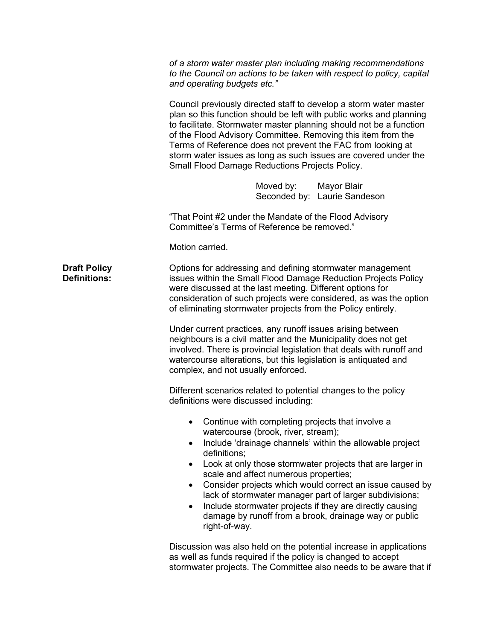|                                            | of a storm water master plan including making recommendations<br>to the Council on actions to be taken with respect to policy, capital<br>and operating budgets etc."<br>Council previously directed staff to develop a storm water master<br>plan so this function should be left with public works and planning<br>to facilitate. Stormwater master planning should not be a function<br>of the Flood Advisory Committee. Removing this item from the<br>Terms of Reference does not prevent the FAC from looking at<br>storm water issues as long as such issues are covered under the<br>Small Flood Damage Reductions Projects Policy. |  |  |
|--------------------------------------------|---------------------------------------------------------------------------------------------------------------------------------------------------------------------------------------------------------------------------------------------------------------------------------------------------------------------------------------------------------------------------------------------------------------------------------------------------------------------------------------------------------------------------------------------------------------------------------------------------------------------------------------------|--|--|
|                                            |                                                                                                                                                                                                                                                                                                                                                                                                                                                                                                                                                                                                                                             |  |  |
|                                            | Moved by: Mayor Blair<br>Seconded by: Laurie Sandeson                                                                                                                                                                                                                                                                                                                                                                                                                                                                                                                                                                                       |  |  |
|                                            | "That Point #2 under the Mandate of the Flood Advisory<br>Committee's Terms of Reference be removed."                                                                                                                                                                                                                                                                                                                                                                                                                                                                                                                                       |  |  |
|                                            | Motion carried.                                                                                                                                                                                                                                                                                                                                                                                                                                                                                                                                                                                                                             |  |  |
| <b>Draft Policy</b><br><b>Definitions:</b> | Options for addressing and defining stormwater management<br>issues within the Small Flood Damage Reduction Projects Policy<br>were discussed at the last meeting. Different options for<br>consideration of such projects were considered, as was the option<br>of eliminating stormwater projects from the Policy entirely.                                                                                                                                                                                                                                                                                                               |  |  |
|                                            | Under current practices, any runoff issues arising between<br>neighbours is a civil matter and the Municipality does not get<br>involved. There is provincial legislation that deals with runoff and<br>watercourse alterations, but this legislation is antiquated and<br>complex, and not usually enforced.                                                                                                                                                                                                                                                                                                                               |  |  |
|                                            | Different scenarios related to potential changes to the policy<br>definitions were discussed including:                                                                                                                                                                                                                                                                                                                                                                                                                                                                                                                                     |  |  |
|                                            | Continue with completing projects that involve a<br>watercourse (brook, river, stream);<br>Include 'drainage channels' within the allowable project<br>$\bullet$<br>definitions;<br>Look at only those stormwater projects that are larger in<br>$\bullet$<br>scale and affect numerous properties;<br>Consider projects which would correct an issue caused by<br>$\bullet$<br>lack of stormwater manager part of larger subdivisions;<br>Include stormwater projects if they are directly causing<br>$\bullet$<br>damage by runoff from a brook, drainage way or public<br>right-of-way.                                                  |  |  |
|                                            | Discussion was also held on the potential increase in applications<br>as well as funds required if the policy is changed to accept<br>stormwater projects. The Committee also needs to be aware that if                                                                                                                                                                                                                                                                                                                                                                                                                                     |  |  |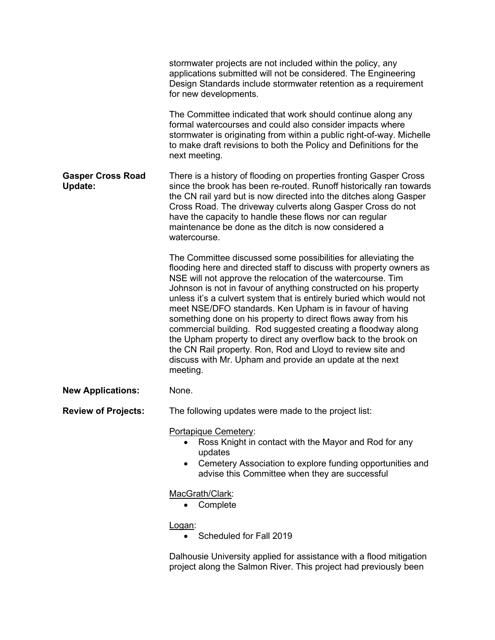|                                            | stormwater projects are not included within the policy, any<br>applications submitted will not be considered. The Engineering<br>Design Standards include stormwater retention as a requirement<br>for new developments.                                                                                                                                                                                                                                                                                                                                                                                                                                                                                                                              |
|--------------------------------------------|-------------------------------------------------------------------------------------------------------------------------------------------------------------------------------------------------------------------------------------------------------------------------------------------------------------------------------------------------------------------------------------------------------------------------------------------------------------------------------------------------------------------------------------------------------------------------------------------------------------------------------------------------------------------------------------------------------------------------------------------------------|
|                                            | The Committee indicated that work should continue along any<br>formal watercourses and could also consider impacts where<br>stormwater is originating from within a public right-of-way. Michelle<br>to make draft revisions to both the Policy and Definitions for the<br>next meeting.                                                                                                                                                                                                                                                                                                                                                                                                                                                              |
| <b>Gasper Cross Road</b><br><b>Update:</b> | There is a history of flooding on properties fronting Gasper Cross<br>since the brook has been re-routed. Runoff historically ran towards<br>the CN rail yard but is now directed into the ditches along Gasper<br>Cross Road. The driveway culverts along Gasper Cross do not<br>have the capacity to handle these flows nor can regular<br>maintenance be done as the ditch is now considered a<br>watercourse.                                                                                                                                                                                                                                                                                                                                     |
|                                            | The Committee discussed some possibilities for alleviating the<br>flooding here and directed staff to discuss with property owners as<br>NSE will not approve the relocation of the watercourse. Tim<br>Johnson is not in favour of anything constructed on his property<br>unless it's a culvert system that is entirely buried which would not<br>meet NSE/DFO standards. Ken Upham is in favour of having<br>something done on his property to direct flows away from his<br>commercial building. Rod suggested creating a floodway along<br>the Upham property to direct any overflow back to the brook on<br>the CN Rail property. Ron, Rod and Lloyd to review site and<br>discuss with Mr. Upham and provide an update at the next<br>meeting. |
| <b>New Applications:</b>                   | None.                                                                                                                                                                                                                                                                                                                                                                                                                                                                                                                                                                                                                                                                                                                                                 |
| <b>Review of Projects:</b>                 | The following updates were made to the project list:                                                                                                                                                                                                                                                                                                                                                                                                                                                                                                                                                                                                                                                                                                  |
|                                            | Portapique Cemetery:<br>Ross Knight in contact with the Mayor and Rod for any<br>updates<br>Cemetery Association to explore funding opportunities and<br>advise this Committee when they are successful                                                                                                                                                                                                                                                                                                                                                                                                                                                                                                                                               |
|                                            | MacGrath/Clark:<br>Complete                                                                                                                                                                                                                                                                                                                                                                                                                                                                                                                                                                                                                                                                                                                           |
|                                            | <u>Logan:</u><br>Scheduled for Fall 2019                                                                                                                                                                                                                                                                                                                                                                                                                                                                                                                                                                                                                                                                                                              |

Dalhousie University applied for assistance with a flood mitigation project along the Salmon River. This project had previously been